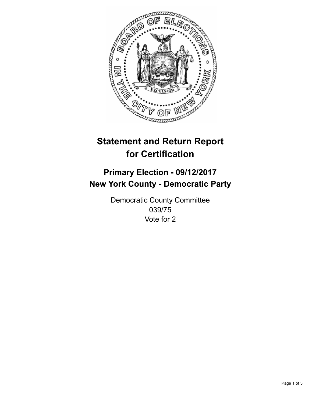

## **Statement and Return Report for Certification**

## **Primary Election - 09/12/2017 New York County - Democratic Party**

Democratic County Committee 039/75 Vote for 2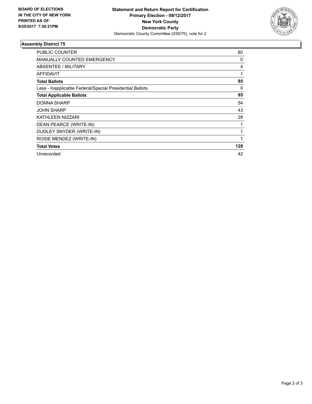

## **Assembly District 75**

| <b>PUBLIC COUNTER</b>                                    | 80  |
|----------------------------------------------------------|-----|
| <b>MANUALLY COUNTED EMERGENCY</b>                        | 0   |
| ABSENTEE / MILITARY                                      | 4   |
| AFFIDAVIT                                                | 1   |
| <b>Total Ballots</b>                                     | 85  |
| Less - Inapplicable Federal/Special Presidential Ballots | 0   |
| <b>Total Applicable Ballots</b>                          | 85  |
| <b>DONNA SHARP</b>                                       | 54  |
| <b>JOHN SHARP</b>                                        | 43  |
| KATHLEEN NIZZARI                                         | 28  |
| DEAN PEARCE (WRITE-IN)                                   | 1   |
| DUDLEY SNYDER (WRITE-IN)                                 | 1   |
| ROSIE MENDEZ (WRITE-IN)                                  |     |
| <b>Total Votes</b>                                       | 128 |
| Unrecorded                                               | 42  |